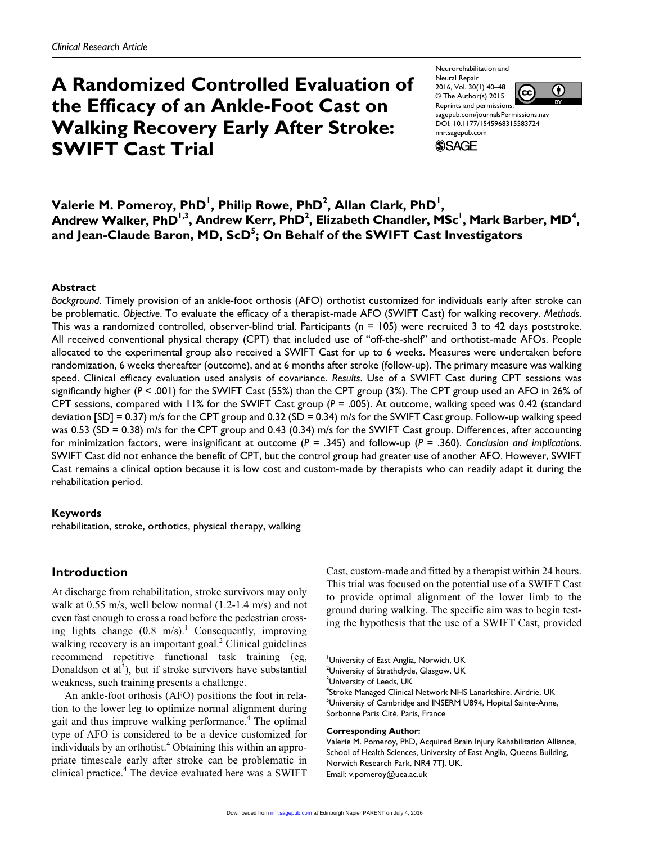# **A Randomized Controlled Evaluation of the Efficacy of an Ankle-Foot Cast on Walking Recovery Early After Stroke: SWIFT Cast Trial**

Neurorehabilitation and Neural Repair 2016, Vol. 30(1) 40–48 (cc) © The Author(s) 2015 Reprints and permissions: DOI: 10.1177/1545968315583724 nnr.sagepub.com



sagepub.com/journalsPermissions.nav **SSAGE** 

 $\mathsf{Value}$  **M. Pomeroy, PhD<sup>1</sup>, Philip Rowe, PhD<sup>2</sup>, Allan Clark, PhD<sup>1</sup>,**  $\mathsf{Andrew\ Walker}$ ,  $\mathsf{PhD}^{1,3}$ ,  $\mathsf{Andrew\ Kerr}$ ,  $\mathsf{PhD}^{2}$ , Elizabeth Chandler,  $\mathsf{MSC}^{1}$ ,  $\mathsf{Mark\ Barber}$ ,  $\mathsf{MD}^{4}$ , **and Jean-Claude Baron, MD, ScD<sup>5</sup> ; On Behalf of the SWIFT Cast Investigators**

#### **Abstract**

*Background*. Timely provision of an ankle-foot orthosis (AFO) orthotist customized for individuals early after stroke can be problematic. *Objective*. To evaluate the efficacy of a therapist-made AFO (SWIFT Cast) for walking recovery. *Methods*. This was a randomized controlled, observer-blind trial. Participants ( $n = 105$ ) were recruited 3 to 42 days poststroke. All received conventional physical therapy (CPT) that included use of "off-the-shelf" and orthotist-made AFOs. People allocated to the experimental group also received a SWIFT Cast for up to 6 weeks. Measures were undertaken before randomization, 6 weeks thereafter (outcome), and at 6 months after stroke (follow-up). The primary measure was walking speed. Clinical efficacy evaluation used analysis of covariance. *Results*. Use of a SWIFT Cast during CPT sessions was significantly higher (*P* < .001) for the SWIFT Cast (55%) than the CPT group (3%). The CPT group used an AFO in 26% of CPT sessions, compared with 11% for the SWIFT Cast group (*P* = .005). At outcome, walking speed was 0.42 (standard deviation  $[SD] = 0.37$ ) m/s for the CPT group and  $0.32$  (SD = 0.34) m/s for the SWIFT Cast group. Follow-up walking speed was 0.53 (SD = 0.38) m/s for the CPT group and 0.43 (0.34) m/s for the SWIFT Cast group. Differences, after accounting for minimization factors, were insignificant at outcome (*P* = .345) and follow-up (*P* = .360). *Conclusion and implications*. SWIFT Cast did not enhance the benefit of CPT, but the control group had greater use of another AFO. However, SWIFT Cast remains a clinical option because it is low cost and custom-made by therapists who can readily adapt it during the rehabilitation period.

#### **Keywords**

rehabilitation, stroke, orthotics, physical therapy, walking

## **Introduction**

At discharge from rehabilitation, stroke survivors may only walk at 0.55 m/s, well below normal (1.2-1.4 m/s) and not even fast enough to cross a road before the pedestrian crossing lights change  $(0.8 \text{ m/s})$ .<sup>1</sup> Consequently, improving walking recovery is an important goal.<sup>2</sup> Clinical guidelines recommend repetitive functional task training (eg, Donaldson et al<sup>3</sup>), but if stroke survivors have substantial weakness, such training presents a challenge.

An ankle-foot orthosis (AFO) positions the foot in relation to the lower leg to optimize normal alignment during gait and thus improve walking performance.<sup>4</sup> The optimal type of AFO is considered to be a device customized for individuals by an orthotist.<sup>4</sup> Obtaining this within an appropriate timescale early after stroke can be problematic in clinical practice.<sup>4</sup> The device evaluated here was a SWIFT Cast, custom-made and fitted by a therapist within 24 hours. This trial was focused on the potential use of a SWIFT Cast to provide optimal alignment of the lower limb to the ground during walking. The specific aim was to begin testing the hypothesis that the use of a SWIFT Cast, provided

 $^{2}$ University of Strathclyde, Glasgow, UK

<sup>4</sup>Stroke Managed Clinical Network NHS Lanarkshire, Airdrie, UK <sup>5</sup>University of Cambridge and INSERM U894, Hopital Sainte-Anne, Sorbonne Paris Cité, Paris, France

#### **Corresponding Author:**

Valerie M. Pomeroy, PhD, Acquired Brain Injury Rehabilitation Alliance, School of Health Sciences, University of East Anglia, Queens Building, Norwich Research Park, NR4 7TJ, UK. Email: [v.pomeroy@uea.ac.uk](mailto:v.pomeroy@uea.ac.uk)

University of East Anglia, Norwich, UK

<sup>&</sup>lt;sup>3</sup>University of Leeds, UK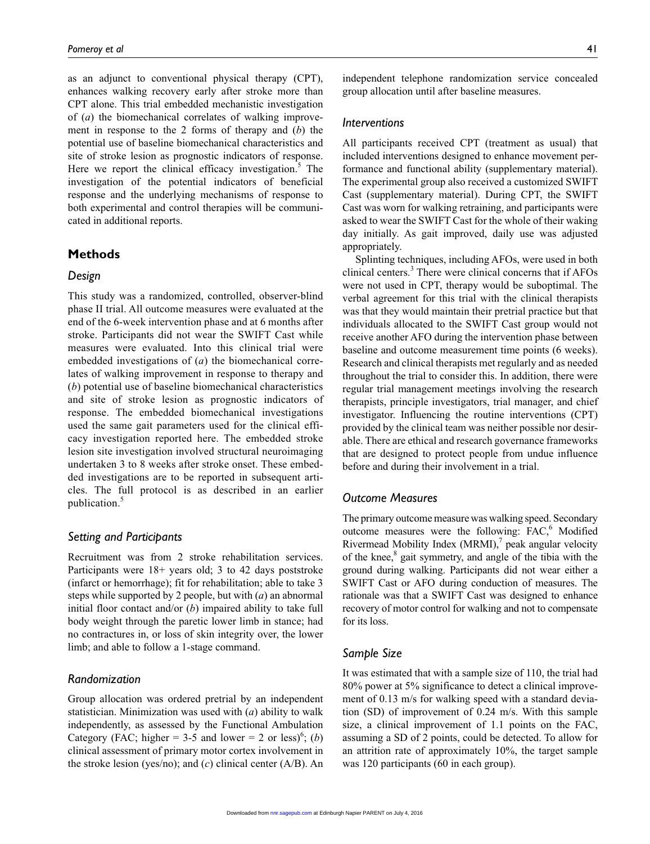as an adjunct to conventional physical therapy (CPT), enhances walking recovery early after stroke more than CPT alone. This trial embedded mechanistic investigation of (*a*) the biomechanical correlates of walking improvement in response to the 2 forms of therapy and (*b*) the potential use of baseline biomechanical characteristics and site of stroke lesion as prognostic indicators of response. Here we report the clinical efficacy investigation.<sup>5</sup> The investigation of the potential indicators of beneficial response and the underlying mechanisms of response to both experimental and control therapies will be communicated in additional reports.

## **Methods**

#### *Design*

This study was a randomized, controlled, observer-blind phase II trial. All outcome measures were evaluated at the end of the 6-week intervention phase and at 6 months after stroke. Participants did not wear the SWIFT Cast while measures were evaluated. Into this clinical trial were embedded investigations of (*a*) the biomechanical correlates of walking improvement in response to therapy and (*b*) potential use of baseline biomechanical characteristics and site of stroke lesion as prognostic indicators of response. The embedded biomechanical investigations used the same gait parameters used for the clinical efficacy investigation reported here. The embedded stroke lesion site investigation involved structural neuroimaging undertaken 3 to 8 weeks after stroke onset. These embedded investigations are to be reported in subsequent articles. The full protocol is as described in an earlier publication.<sup>5</sup>

## *Setting and Participants*

Recruitment was from 2 stroke rehabilitation services. Participants were 18+ years old; 3 to 42 days poststroke (infarct or hemorrhage); fit for rehabilitation; able to take 3 steps while supported by 2 people, but with (*a*) an abnormal initial floor contact and/or (*b*) impaired ability to take full body weight through the paretic lower limb in stance; had no contractures in, or loss of skin integrity over, the lower limb; and able to follow a 1-stage command.

## *Randomization*

Group allocation was ordered pretrial by an independent statistician. Minimization was used with (*a*) ability to walk independently, as assessed by the Functional Ambulation Category (FAC; higher = 3-5 and lower = 2 or less)<sup>6</sup>; (*b*) clinical assessment of primary motor cortex involvement in the stroke lesion (yes/no); and (*c*) clinical center (A/B). An

independent telephone randomization service concealed group allocation until after baseline measures.

#### *Interventions*

All participants received CPT (treatment as usual) that included interventions designed to enhance movement performance and functional ability (supplementary material). The experimental group also received a customized SWIFT Cast (supplementary material). During CPT, the SWIFT Cast was worn for walking retraining, and participants were asked to wear the SWIFT Cast for the whole of their waking day initially. As gait improved, daily use was adjusted appropriately.

Splinting techniques, including AFOs, were used in both clinical centers.<sup>3</sup> There were clinical concerns that if AFOs were not used in CPT, therapy would be suboptimal. The verbal agreement for this trial with the clinical therapists was that they would maintain their pretrial practice but that individuals allocated to the SWIFT Cast group would not receive another AFO during the intervention phase between baseline and outcome measurement time points (6 weeks). Research and clinical therapists met regularly and as needed throughout the trial to consider this. In addition, there were regular trial management meetings involving the research therapists, principle investigators, trial manager, and chief investigator. Influencing the routine interventions (CPT) provided by the clinical team was neither possible nor desirable. There are ethical and research governance frameworks that are designed to protect people from undue influence before and during their involvement in a trial.

## *Outcome Measures*

The primary outcome measure was walking speed. Secondary outcome measures were the following:  $FAC$ , Modified Rivermead Mobility Index (MRMI), $^7$  peak angular velocity of the knee,<sup>8</sup> gait symmetry, and angle of the tibia with the ground during walking. Participants did not wear either a SWIFT Cast or AFO during conduction of measures. The rationale was that a SWIFT Cast was designed to enhance recovery of motor control for walking and not to compensate for its loss.

#### *Sample Size*

It was estimated that with a sample size of 110, the trial had 80% power at 5% significance to detect a clinical improvement of 0.13 m/s for walking speed with a standard deviation (SD) of improvement of 0.24 m/s. With this sample size, a clinical improvement of 1.1 points on the FAC, assuming a SD of 2 points, could be detected. To allow for an attrition rate of approximately 10%, the target sample was 120 participants (60 in each group).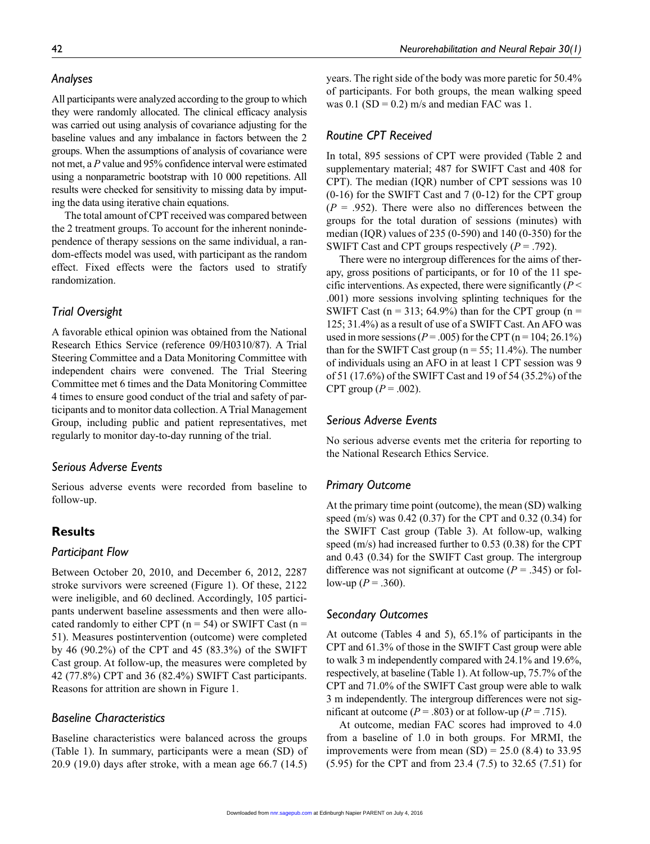### *Analyses*

All participants were analyzed according to the group to which they were randomly allocated. The clinical efficacy analysis was carried out using analysis of covariance adjusting for the baseline values and any imbalance in factors between the 2 groups. When the assumptions of analysis of covariance were not met, a *P* value and 95% confidence interval were estimated using a nonparametric bootstrap with 10 000 repetitions. All results were checked for sensitivity to missing data by imputing the data using iterative chain equations.

The total amount of CPT received was compared between the 2 treatment groups. To account for the inherent nonindependence of therapy sessions on the same individual, a random-effects model was used, with participant as the random effect. Fixed effects were the factors used to stratify randomization.

# *Trial Oversight*

A favorable ethical opinion was obtained from the National Research Ethics Service (reference 09/H0310/87). A Trial Steering Committee and a Data Monitoring Committee with independent chairs were convened. The Trial Steering Committee met 6 times and the Data Monitoring Committee 4 times to ensure good conduct of the trial and safety of participants and to monitor data collection. A Trial Management Group, including public and patient representatives, met regularly to monitor day-to-day running of the trial.

## *Serious Adverse Events*

Serious adverse events were recorded from baseline to follow-up.

# **Results**

## *Participant Flow*

Between October 20, 2010, and December 6, 2012, 2287 stroke survivors were screened (Figure 1). Of these, 2122 were ineligible, and 60 declined. Accordingly, 105 participants underwent baseline assessments and then were allocated randomly to either CPT  $(n = 54)$  or SWIFT Cast  $(n = 54)$ 51). Measures postintervention (outcome) were completed by 46 (90.2%) of the CPT and 45 (83.3%) of the SWIFT Cast group. At follow-up, the measures were completed by 42 (77.8%) CPT and 36 (82.4%) SWIFT Cast participants. Reasons for attrition are shown in Figure 1.

## *Baseline Characteristics*

Baseline characteristics were balanced across the groups (Table 1). In summary, participants were a mean (SD) of 20.9 (19.0) days after stroke, with a mean age 66.7 (14.5) years. The right side of the body was more paretic for 50.4% of participants. For both groups, the mean walking speed

was  $0.1$  (SD = 0.2) m/s and median FAC was 1.

## *Routine CPT Received*

In total, 895 sessions of CPT were provided (Table 2 and supplementary material; 487 for SWIFT Cast and 408 for CPT). The median (IQR) number of CPT sessions was 10  $(0-16)$  for the SWIFT Cast and 7  $(0-12)$  for the CPT group  $(P = .952)$ . There were also no differences between the groups for the total duration of sessions (minutes) with median (IQR) values of 235 (0-590) and 140 (0-350) for the SWIFT Cast and CPT groups respectively (*P* = .792).

There were no intergroup differences for the aims of therapy, gross positions of participants, or for 10 of the 11 specific interventions. As expected, there were significantly (*P* < .001) more sessions involving splinting techniques for the SWIFT Cast ( $n = 313$ ; 64.9%) than for the CPT group ( $n =$ 125; 31.4%) as a result of use of a SWIFT Cast. An AFO was used in more sessions ( $P = .005$ ) for the CPT ( $n = 104$ ; 26.1%) than for the SWIFT Cast group ( $n = 55$ ; 11.4%). The number of individuals using an AFO in at least 1 CPT session was 9 of 51 (17.6%) of the SWIFT Cast and 19 of 54 (35.2%) of the CPT group  $(P = .002)$ .

#### *Serious Adverse Events*

No serious adverse events met the criteria for reporting to the National Research Ethics Service.

#### *Primary Outcome*

At the primary time point (outcome), the mean (SD) walking speed (m/s) was 0.42 (0.37) for the CPT and 0.32 (0.34) for the SWIFT Cast group (Table 3). At follow-up, walking speed (m/s) had increased further to 0.53 (0.38) for the CPT and 0.43 (0.34) for the SWIFT Cast group. The intergroup difference was not significant at outcome  $(P = .345)$  or follow-up ( $P = .360$ ).

## *Secondary Outcomes*

At outcome (Tables 4 and 5), 65.1% of participants in the CPT and 61.3% of those in the SWIFT Cast group were able to walk 3 m independently compared with 24.1% and 19.6%, respectively, at baseline (Table 1). At follow-up, 75.7% of the CPT and 71.0% of the SWIFT Cast group were able to walk 3 m independently. The intergroup differences were not significant at outcome ( $P = .803$ ) or at follow-up ( $P = .715$ ).

At outcome, median FAC scores had improved to 4.0 from a baseline of 1.0 in both groups. For MRMI, the improvements were from mean  $(SD) = 25.0$  (8.4) to 33.95 (5.95) for the CPT and from 23.4 (7.5) to 32.65 (7.51) for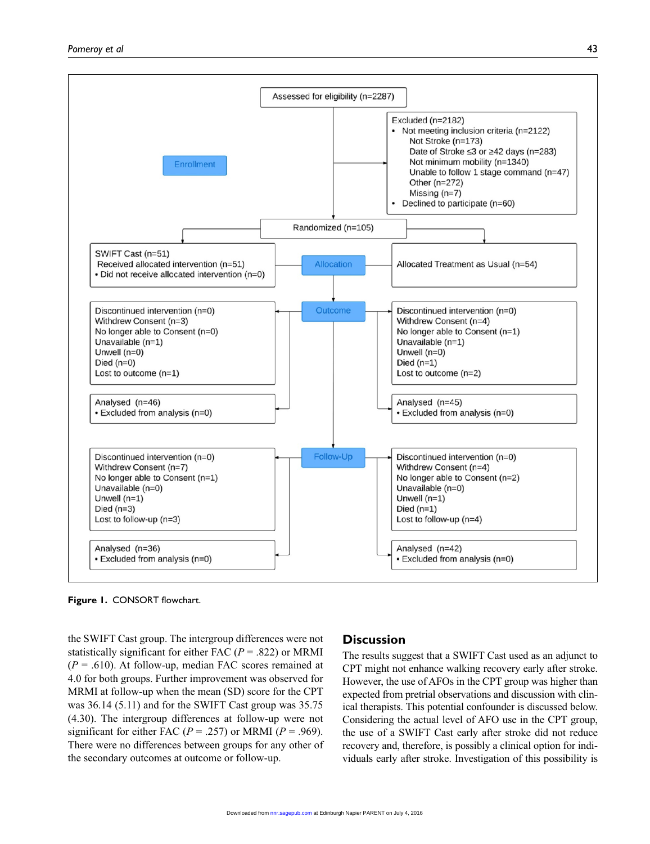

**Figure 1.** CONSORT flowchart.

the SWIFT Cast group. The intergroup differences were not statistically significant for either FAC (*P* = .822) or MRMI  $(P = .610)$ . At follow-up, median FAC scores remained at 4.0 for both groups. Further improvement was observed for MRMI at follow-up when the mean (SD) score for the CPT was 36.14 (5.11) and for the SWIFT Cast group was 35.75 (4.30). The intergroup differences at follow-up were not significant for either FAC  $(P = .257)$  or MRMI  $(P = .969)$ . There were no differences between groups for any other of the secondary outcomes at outcome or follow-up.

## **Discussion**

The results suggest that a SWIFT Cast used as an adjunct to CPT might not enhance walking recovery early after stroke. However, the use of AFOs in the CPT group was higher than expected from pretrial observations and discussion with clinical therapists. This potential confounder is discussed below. Considering the actual level of AFO use in the CPT group, the use of a SWIFT Cast early after stroke did not reduce recovery and, therefore, is possibly a clinical option for individuals early after stroke. Investigation of this possibility is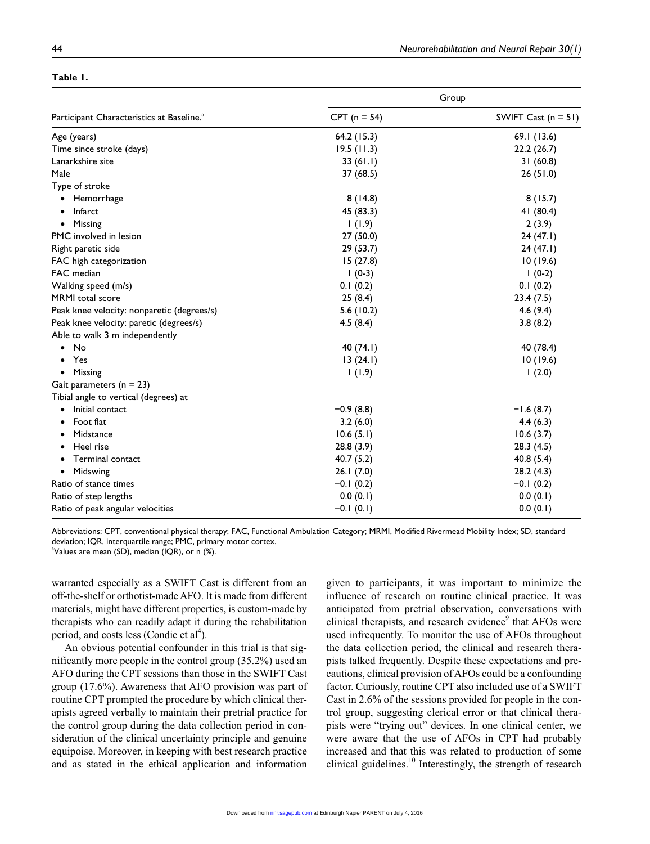| adie |
|------|
|------|

|                                                       | Group          |                       |  |  |
|-------------------------------------------------------|----------------|-----------------------|--|--|
| Participant Characteristics at Baseline. <sup>a</sup> | $CPT (n = 54)$ | SWIFT Cast $(n = 51)$ |  |  |
| Age (years)                                           | 64.2 (15.3)    | 69.1 (13.6)           |  |  |
| Time since stroke (days)                              | 19.5(11.3)     | 22.2(26.7)            |  |  |
| Lanarkshire site                                      | 33(61.1)       | 31(60.8)              |  |  |
| Male                                                  | 37 (68.5)      | 26(51.0)              |  |  |
| Type of stroke                                        |                |                       |  |  |
| Hemorrhage                                            | 8(14.8)        | 8(15.7)               |  |  |
| Infarct                                               | 45 (83.3)      | 41 (80.4)             |  |  |
| Missing<br>$\bullet$                                  | 1(1.9)         | 2(3.9)                |  |  |
| PMC involved in lesion                                | 27 (50.0)      | 24(47.1)              |  |  |
| Right paretic side                                    | 29 (53.7)      | 24(47.1)              |  |  |
| FAC high categorization                               | 15(27.8)       | 10(19.6)              |  |  |
| FAC median                                            | $1(0-3)$       | $1(0-2)$              |  |  |
| Walking speed (m/s)                                   | 0.1(0.2)       | 0.1(0.2)              |  |  |
| MRMI total score                                      | 25(8.4)        | 23.4(7.5)             |  |  |
| Peak knee velocity: nonparetic (degrees/s)            | 5.6(10.2)      | 4.6(9.4)              |  |  |
| Peak knee velocity: paretic (degrees/s)               | 4.5(8.4)       | 3.8(8.2)              |  |  |
| Able to walk 3 m independently                        |                |                       |  |  |
| No                                                    | 40 (74.1)      | 40 (78.4)             |  |  |
| Yes                                                   | 13(24.1)       | 10(19.6)              |  |  |
| Missing<br>$\bullet$                                  | 1(1.9)         | 1(2.0)                |  |  |
| Gait parameters $(n = 23)$                            |                |                       |  |  |
| Tibial angle to vertical (degrees) at                 |                |                       |  |  |
| Initial contact                                       | $-0.9(8.8)$    | $-1.6(8.7)$           |  |  |
| Foot flat                                             | 3.2(6.0)       | 4.4(6.3)              |  |  |
| Midstance                                             | 10.6(5.1)      | 10.6(3.7)             |  |  |
| Heel rise                                             | 28.8(3.9)      | 28.3(4.5)             |  |  |
| <b>Terminal contact</b>                               | 40.7(5.2)      | 40.8 (5.4)            |  |  |
| Midswing                                              | 26.1(7.0)      | 28.2(4.3)             |  |  |
| Ratio of stance times                                 | $-0.1(0.2)$    | $-0.1(0.2)$           |  |  |
| Ratio of step lengths                                 | 0.0(0.1)       | 0.0(0.1)              |  |  |
| Ratio of peak angular velocities                      | $-0.1(0.1)$    | 0.0(0.1)              |  |  |

Abbreviations: CPT, conventional physical therapy; FAC, Functional Ambulation Category; MRMI, Modified Rivermead Mobility Index; SD, standard deviation; IQR, interquartile range; PMC, primary motor cortex.

a Values are mean (SD), median (IQR), or n (%).

warranted especially as a SWIFT Cast is different from an off-the-shelf or orthotist-made AFO. It is made from different materials, might have different properties, is custom-made by therapists who can readily adapt it during the rehabilitation period, and costs less (Condie et  $al<sup>4</sup>$ ).

An obvious potential confounder in this trial is that significantly more people in the control group (35.2%) used an AFO during the CPT sessions than those in the SWIFT Cast group (17.6%). Awareness that AFO provision was part of routine CPT prompted the procedure by which clinical therapists agreed verbally to maintain their pretrial practice for the control group during the data collection period in consideration of the clinical uncertainty principle and genuine equipoise. Moreover, in keeping with best research practice and as stated in the ethical application and information

given to participants, it was important to minimize the influence of research on routine clinical practice. It was anticipated from pretrial observation, conversations with clinical therapists, and research evidence<sup>9</sup> that AFOs were used infrequently. To monitor the use of AFOs throughout the data collection period, the clinical and research therapists talked frequently. Despite these expectations and precautions, clinical provision of AFOs could be a confounding factor. Curiously, routine CPT also included use of a SWIFT Cast in 2.6% of the sessions provided for people in the control group, suggesting clerical error or that clinical therapists were "trying out" devices. In one clinical center, we were aware that the use of AFOs in CPT had probably increased and that this was related to production of some clinical guidelines. $10$  Interestingly, the strength of research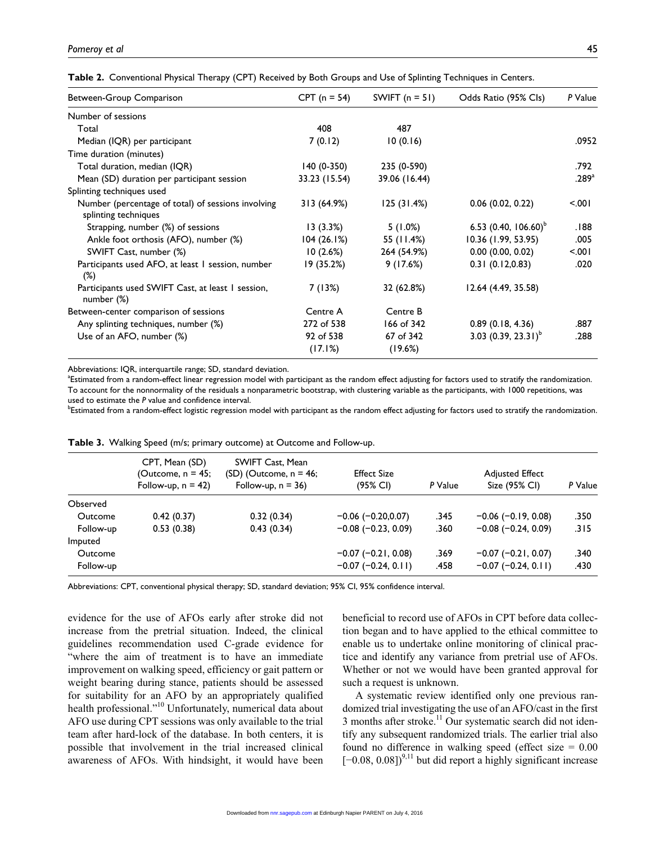| Between-Group Comparison                                                   | $CPT (n = 54)$ | SWIFT $(n = 51)$ | Odds Ratio (95% Cls)    | P Value           |
|----------------------------------------------------------------------------|----------------|------------------|-------------------------|-------------------|
| Number of sessions                                                         |                |                  |                         |                   |
| Total                                                                      | 408            | 487              |                         |                   |
| Median (IQR) per participant                                               | 7(0.12)        | 10(0.16)         |                         | .0952             |
| Time duration (minutes)                                                    |                |                  |                         |                   |
| Total duration, median (IQR)                                               | $140(0-350)$   | 235 (0-590)      |                         | .792              |
| Mean (SD) duration per participant session                                 | 33.23 (15.54)  | 39.06 (16.44)    |                         | .289 <sup>a</sup> |
| Splinting techniques used                                                  |                |                  |                         |                   |
| Number (percentage of total) of sessions involving<br>splinting techniques | 313 (64.9%)    | 125(31.4%)       | $0.06$ (0.02, 0.22)     | 5.001             |
| Strapping, number (%) of sessions                                          | 13(3.3%)       | $5(1.0\%)$       | 6.53 $(0.40, 106.60)^b$ | .188              |
| Ankle foot orthosis (AFO), number (%)                                      | 104(26.1%)     | 55 (11.4%)       | 10.36 (1.99, 53.95)     | .005              |
| SWIFT Cast, number (%)                                                     | 10(2.6%)       | 264 (54.9%)      | $0.00$ (0.00, 0.02)     | 5001              |
| Participants used AFO, at least 1 session, number<br>$(\%)$                | 19 (35.2%)     | 9(17.6%)         | 0.31(0.12,0.83)         | .020              |
| Participants used SWIFT Cast, at least 1 session,<br>number $(\%)$         | 7 (13%)        | 32 (62.8%)       | 12.64 (4.49, 35.58)     |                   |
| Between-center comparison of sessions                                      | Centre A       | Centre B         |                         |                   |
| Any splinting techniques, number (%)                                       | 272 of 538     | 166 of 342       | 0.89(0.18, 4.36)        | .887              |
| Use of an AFO, number (%)                                                  | 92 of 538      | 67 of 342        | 3.03 $(0.39, 23.31)^b$  | .288              |
|                                                                            | (17.1%)        | (19.6%)          |                         |                   |

Abbreviations: IQR, interquartile range; SD, standard deviation.

<sup>a</sup>Estimated from a random-effect linear regression model with participant as the random effect adjusting for factors used to stratify the randomization. To account for the nonnormality of the residuals a nonparametric bootstrap, with clustering variable as the participants, with 1000 repetitions, was used to estimate the *P* value and confidence interval.

bEstimated from a random-effect logistic regression model with participant as the random effect adjusting for factors used to stratify the randomization.

|           | CPT, Mean (SD)<br>(Outcome, n = 45;<br>Follow-up, $n = 42$ ) | SWIFT Cast, Mean<br>(SD) (Outcome, n = 46;<br>Follow-up, $n = 36$ ) | <b>Effect Size</b><br>(95% CI) | P Value | <b>Adjusted Effect</b><br>Size (95% CI) | P Value |
|-----------|--------------------------------------------------------------|---------------------------------------------------------------------|--------------------------------|---------|-----------------------------------------|---------|
| Observed  |                                                              |                                                                     |                                |         |                                         |         |
| Outcome   | 0.42(0.37)                                                   | 0.32(0.34)                                                          | $-0.06$ ( $-0.20,0.07$ )       | .345    | $-0.06$ ( $-0.19$ , 0.08)               | .350    |
| Follow-up | 0.53(0.38)                                                   | 0.43(0.34)                                                          | $-0.08$ ( $-0.23$ , 0.09)      | .360    | $-0.08$ ( $-0.24$ , 0.09)               | .315    |
| Imputed   |                                                              |                                                                     |                                |         |                                         |         |
| Outcome   |                                                              |                                                                     | $-0.07$ ( $-0.21$ , 0.08)      | .369    | $-0.07$ ( $-0.21$ , 0.07)               | .340    |
| Follow-up |                                                              |                                                                     | $-0.07$ (-0.24, 0.11)          | .458    | $-0.07$ ( $-0.24$ , 0.11)               | .430    |

**Table 3.** Walking Speed (m/s; primary outcome) at Outcome and Follow-up.

Abbreviations: CPT, conventional physical therapy; SD, standard deviation; 95% CI, 95% confidence interval.

evidence for the use of AFOs early after stroke did not increase from the pretrial situation. Indeed, the clinical guidelines recommendation used C-grade evidence for "where the aim of treatment is to have an immediate improvement on walking speed, efficiency or gait pattern or weight bearing during stance, patients should be assessed for suitability for an AFO by an appropriately qualified health professional."<sup>10</sup> Unfortunately, numerical data about AFO use during CPT sessions was only available to the trial team after hard-lock of the database. In both centers, it is possible that involvement in the trial increased clinical awareness of AFOs. With hindsight, it would have been

beneficial to record use of AFOs in CPT before data collection began and to have applied to the ethical committee to enable us to undertake online monitoring of clinical practice and identify any variance from pretrial use of AFOs. Whether or not we would have been granted approval for such a request is unknown.

A systematic review identified only one previous randomized trial investigating the use of an AFO/cast in the first 3 months after stroke. $^{11}$  Our systematic search did not identify any subsequent randomized trials. The earlier trial also found no difference in walking speed (effect size  $= 0.00$ )  $[-0.08, 0.08]$ <sup>9,11</sup> but did report a highly significant increase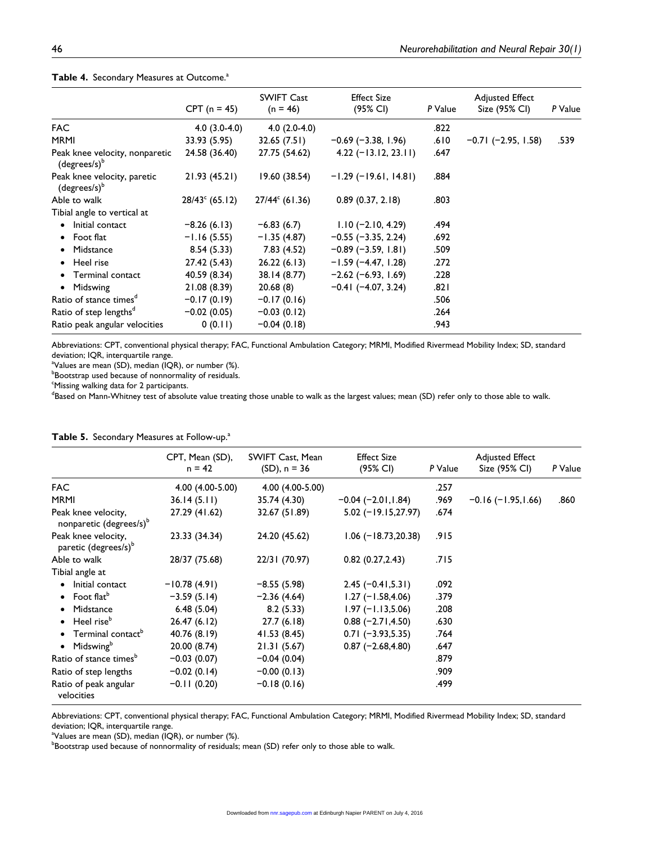|                                                   | $CPT (n = 45)$          | <b>SWIFT Cast</b><br>$(n = 46)$ | <b>Effect Size</b><br>(95% CI) | P Value | <b>Adjusted Effect</b><br>Size (95% CI) | P Value |
|---------------------------------------------------|-------------------------|---------------------------------|--------------------------------|---------|-----------------------------------------|---------|
| <b>FAC</b>                                        | $4.0(3.0-4.0)$          | $4.0(2.0-4.0)$                  |                                | .822    |                                         |         |
| <b>MRMI</b>                                       | 33.93 (5.95)            | 32.65(7.51)                     | $-0.69$ (-3.38, 1.96)          | .610    | $-0.71$ ( $-2.95$ , 1.58)               | .539    |
| Peak knee velocity, nonparetic<br>$(degrees/s)^b$ | 24.58 (36.40)           | 27.75 (54.62)                   | $4.22$ (-13.12, 23.11)         | .647    |                                         |         |
| Peak knee velocity, paretic<br>$(degrees/s)^{b}$  | 21.93(45.21)            | 19.60 (38.54)                   | $-1.29$ (-19.61, 14.81)        | .884    |                                         |         |
| Able to walk                                      | $28/43^{\circ}$ (65.12) | $27/44^{\circ}$ (61.36)         | 0.89(0.37, 2.18)               | .803    |                                         |         |
| Tibial angle to vertical at                       |                         |                                 |                                |         |                                         |         |
| • Initial contact                                 | $-8.26(6.13)$           | $-6.83(6.7)$                    | $1.10 (-2.10, 4.29)$           | .494    |                                         |         |
| $\bullet$ Foot flat                               | $-1.16(5.55)$           | $-1.35(4.87)$                   | $-0.55$ ( $-3.35$ , 2.24)      | .692    |                                         |         |
| • Midstance                                       | 8.54(5.33)              | 7.83(4.52)                      | $-0.89$ (-3.59, 1.81)          | .509    |                                         |         |
| • Heel rise                                       | 27.42 (5.43)            | 26.22(6.13)                     | $-1.59$ (-4.47, 1.28)          | .272    |                                         |         |
| • Terminal contact                                | 40.59 (8.34)            | 38.14 (8.77)                    | $-2.62$ (-6.93, 1.69)          | .228    |                                         |         |
| Midswing<br>$\bullet$                             | 21.08 (8.39)            | 20.68(8)                        | $-0.41$ (-4.07, 3.24)          | ا 82.   |                                         |         |
| Ratio of stance times <sup>a</sup>                | $-0.17(0.19)$           | $-0.17(0.16)$                   |                                | .506    |                                         |         |
| Ratio of step lengths <sup>d</sup>                | $-0.02(0.05)$           | $-0.03(0.12)$                   |                                | .264    |                                         |         |
| Ratio peak angular velocities                     | 0(0.11)                 | $-0.04(0.18)$                   |                                | .943    |                                         |         |

#### Table 4. Secondary Measures at Outcome.<sup>a</sup>

Abbreviations: CPT, conventional physical therapy; FAC, Functional Ambulation Category; MRMI, Modified Rivermead Mobility Index; SD, standard deviation; IQR, interquartile range.

a Values are mean (SD), median (IQR), or number (%).

**Bootstrap used because of nonnormality of residuals.** 

<sup>c</sup>Missing walking data for 2 participants.

<sup>d</sup>Based on Mann-Whitney test of absolute value treating those unable to walk as the largest values; mean (SD) refer only to those able to walk.

|                                                            | CPT, Mean (SD),<br>$n = 42$ | SWIFT Cast, Mean<br>$(SD)$ , n = 36 | <b>Effect Size</b><br>(95% CI) | P Value | <b>Adjusted Effect</b><br>Size (95% CI) | P Value |
|------------------------------------------------------------|-----------------------------|-------------------------------------|--------------------------------|---------|-----------------------------------------|---------|
| <b>FAC</b>                                                 | 4.00 (4.00-5.00)            | 4.00 (4.00-5.00)                    |                                | .257    |                                         |         |
| <b>MRMI</b>                                                | 36.14(5.11)                 | 35.74 (4.30)                        | $-0.04$ ( $-2.01, 1.84$ )      | .969    | $-0.16$ ( $-1.95, 1.66$ )               | .860    |
| Peak knee velocity,<br>nonparetic (degrees/s) <sup>b</sup> | 27.29 (41.62)               | 32.67 (51.89)                       | $5.02$ (-19.15,27.97)          | .674    |                                         |         |
| Peak knee velocity,<br>paretic (degrees/s) <sup>b</sup>    | 23.33 (34.34)               | 24.20 (45.62)                       | $1.06$ (-18.73,20.38)          | .915    |                                         |         |
| Able to walk                                               | 28/37 (75.68)               | 22/31 (70.97)                       | 0.82(0.27, 2.43)               | .715    |                                         |         |
| Tibial angle at                                            |                             |                                     |                                |         |                                         |         |
| Initial contact                                            | $-10.78(4.91)$              | $-8.55(5.98)$                       | $2.45 (-0.41, 5.31)$           | .092    |                                         |         |
| • Foot flat <sup>b</sup>                                   | $-3.59(5.14)$               | $-2.36(4.64)$                       | $1.27 (-1.58, 4.06)$           | .379    |                                         |         |
| Midstance<br>$\bullet$                                     | 6.48(5.04)                  | 8.2(5.33)                           | $1.97 (-1.13, 5.06)$           | .208    |                                         |         |
| $\bullet$ Heel rise <sup>b</sup>                           | 26.47 (6.12)                | 27.7(6.18)                          | $0.88 (-2.71, 4.50)$           | .630    |                                         |         |
| • Terminal contact <sup>b</sup>                            | 40.76 (8.19)                | 41.53 (8.45)                        | $0.71 (-3.93, 5.35)$           | .764    |                                         |         |
| • Midswing $b$                                             | 20.00 (8.74)                | 21.31(5.67)                         | $0.87 (-2.68, 4.80)$           | .647    |                                         |         |
| Ratio of stance times <sup>b</sup>                         | $-0.03(0.07)$               | $-0.04(0.04)$                       |                                | .879    |                                         |         |
| Ratio of step lengths                                      | $-0.02(0.14)$               | $-0.00(0.13)$                       |                                | .909    |                                         |         |
| Ratio of peak angular<br>velocities                        | $-0.11(0.20)$               | $-0.18(0.16)$                       |                                | .499    |                                         |         |

#### Table 5. Secondary Measures at Follow-up.<sup>a</sup>

Abbreviations: CPT, conventional physical therapy; FAC, Functional Ambulation Category; MRMI, Modified Rivermead Mobility Index; SD, standard deviation; IQR, interquartile range.

a Values are mean (SD), median (IQR), or number (%).

 $^{\rm b}$ Bootstrap used because of nonnormality of residuals; mean (SD) refer only to those able to walk.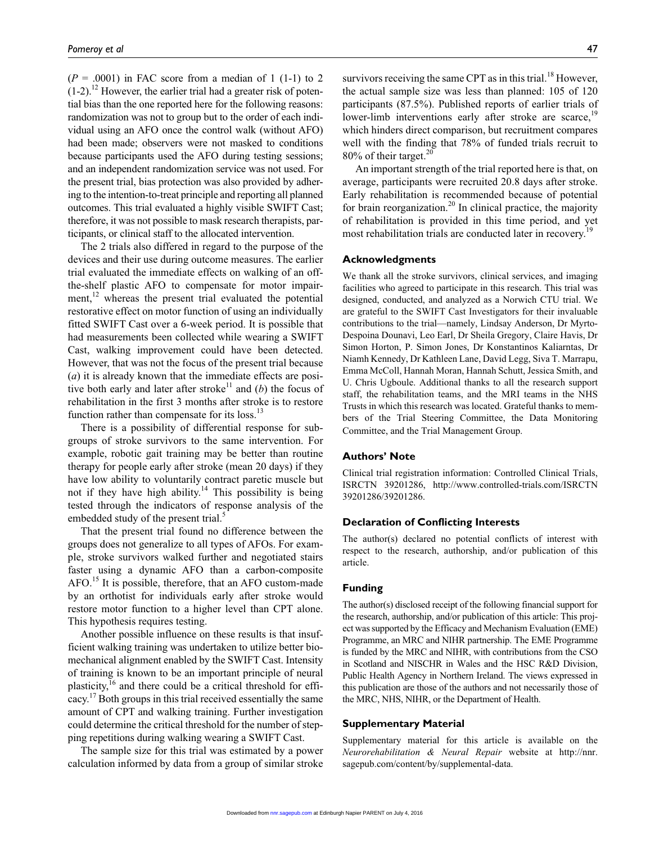$(P = .0001)$  in FAC score from a median of 1 (1-1) to 2  $(1-2)$ .<sup>12</sup> However, the earlier trial had a greater risk of potential bias than the one reported here for the following reasons: randomization was not to group but to the order of each individual using an AFO once the control walk (without AFO) had been made; observers were not masked to conditions because participants used the AFO during testing sessions; and an independent randomization service was not used. For the present trial, bias protection was also provided by adhering to the intention-to-treat principle and reporting all planned outcomes. This trial evaluated a highly visible SWIFT Cast; therefore, it was not possible to mask research therapists, participants, or clinical staff to the allocated intervention.

The 2 trials also differed in regard to the purpose of the devices and their use during outcome measures. The earlier trial evaluated the immediate effects on walking of an offthe-shelf plastic AFO to compensate for motor impairment, $^{12}$  whereas the present trial evaluated the potential restorative effect on motor function of using an individually fitted SWIFT Cast over a 6-week period. It is possible that had measurements been collected while wearing a SWIFT Cast, walking improvement could have been detected. However, that was not the focus of the present trial because (*a*) it is already known that the immediate effects are positive both early and later after stroke<sup>11</sup> and (*b*) the focus of rehabilitation in the first 3 months after stroke is to restore function rather than compensate for its loss. $^{13}$ 

There is a possibility of differential response for subgroups of stroke survivors to the same intervention. For example, robotic gait training may be better than routine therapy for people early after stroke (mean 20 days) if they have low ability to voluntarily contract paretic muscle but not if they have high ability.<sup>14</sup> This possibility is being tested through the indicators of response analysis of the embedded study of the present trial.<sup>5</sup>

That the present trial found no difference between the groups does not generalize to all types of AFOs. For example, stroke survivors walked further and negotiated stairs faster using a dynamic AFO than a carbon-composite AFO.15 It is possible, therefore, that an AFO custom-made by an orthotist for individuals early after stroke would restore motor function to a higher level than CPT alone. This hypothesis requires testing.

Another possible influence on these results is that insufficient walking training was undertaken to utilize better biomechanical alignment enabled by the SWIFT Cast. Intensity of training is known to be an important principle of neural plasticity, $^{16}$  and there could be a critical threshold for efficacy.17 Both groups in this trial received essentially the same amount of CPT and walking training. Further investigation could determine the critical threshold for the number of stepping repetitions during walking wearing a SWIFT Cast.

The sample size for this trial was estimated by a power calculation informed by data from a group of similar stroke

survivors receiving the same CPT as in this trial.<sup>18</sup> However, the actual sample size was less than planned: 105 of 120 participants (87.5%). Published reports of earlier trials of lower-limb interventions early after stroke are scarce,<sup>19</sup> which hinders direct comparison, but recruitment compares well with the finding that 78% of funded trials recruit to 80% of their target.<sup>20</sup>

An important strength of the trial reported here is that, on average, participants were recruited 20.8 days after stroke. Early rehabilitation is recommended because of potential for brain reorganization.<sup>20</sup> In clinical practice, the majority of rehabilitation is provided in this time period, and yet most rehabilitation trials are conducted later in recovery.<sup>19</sup>

#### **Acknowledgments**

We thank all the stroke survivors, clinical services, and imaging facilities who agreed to participate in this research. This trial was designed, conducted, and analyzed as a Norwich CTU trial. We are grateful to the SWIFT Cast Investigators for their invaluable contributions to the trial—namely, Lindsay Anderson, Dr Myrto-Despoina Dounavi, Leo Earl, Dr Sheila Gregory, Claire Havis, Dr Simon Horton, P. Simon Jones, Dr Konstantinos Kaliarntas, Dr Niamh Kennedy, Dr Kathleen Lane, David Legg, Siva T. Marrapu, Emma McColl, Hannah Moran, Hannah Schutt, Jessica Smith, and U. Chris Ugboule. Additional thanks to all the research support staff, the rehabilitation teams, and the MRI teams in the NHS Trusts in which this research was located. Grateful thanks to members of the Trial Steering Committee, the Data Monitoring Committee, and the Trial Management Group.

#### **Authors' Note**

Clinical trial registration information: Controlled Clinical Trials, ISRCTN 39201286, [http://www.controlled-trials.com/ISRCTN](http://www.controlled-trials.com/ISRCTN39201286/39201286) [39201286/39201286.](http://www.controlled-trials.com/ISRCTN39201286/39201286)

#### **Declaration of Conflicting Interests**

The author(s) declared no potential conflicts of interest with respect to the research, authorship, and/or publication of this article.

#### **Funding**

The author(s) disclosed receipt of the following financial support for the research, authorship, and/or publication of this article: This project was supported by the Efficacy and Mechanism Evaluation (EME) Programme, an MRC and NIHR partnership. The EME Programme is funded by the MRC and NIHR, with contributions from the CSO in Scotland and NISCHR in Wales and the HSC R&D Division, Public Health Agency in Northern Ireland. The views expressed in this publication are those of the authors and not necessarily those of the MRC, NHS, NIHR, or the Department of Health.

#### **Supplementary Material**

Supplementary material for this article is available on the *Neurorehabilitation & Neural Repair* website at [http://nnr.](http://nnr.sagepub.com/content/by/supplemental-data) [sagepub.com/content/by/supplemental-data](http://nnr.sagepub.com/content/by/supplemental-data).